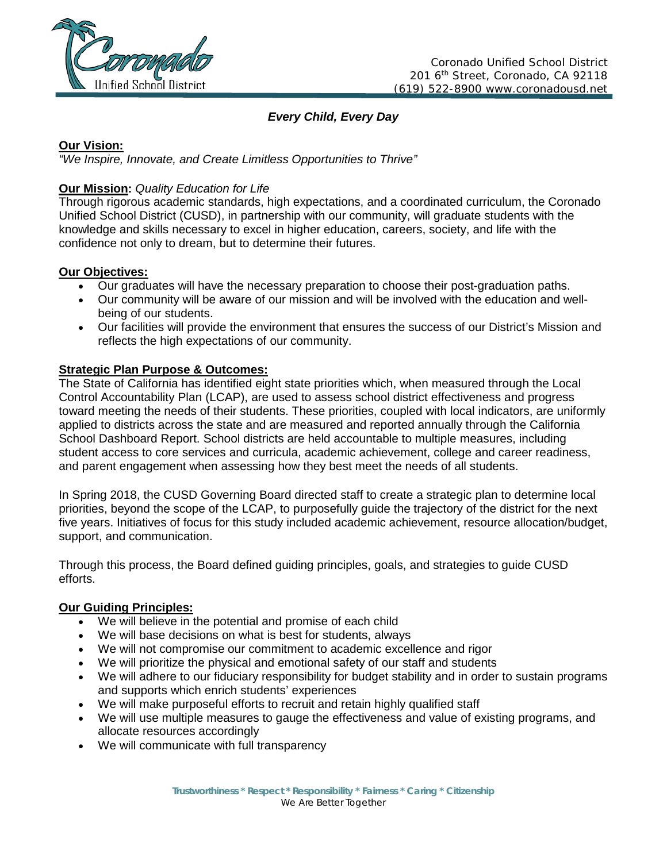

*Every Child, Every Day*

# **Our Vision:**

*"We Inspire, Innovate, and Create Limitless Opportunities to Thrive"*

# **Our Mission:** *Quality Education for Life*

Through rigorous academic standards, high expectations, and a coordinated curriculum, the Coronado Unified School District (CUSD), in partnership with our community, will graduate students with the knowledge and skills necessary to excel in higher education, careers, society, and life with the confidence not only to dream, but to determine their futures.

## **Our Objectives:**

- Our graduates will have the necessary preparation to choose their post-graduation paths.
- Our community will be aware of our mission and will be involved with the education and wellbeing of our students.
- Our facilities will provide the environment that ensures the success of our District's Mission and reflects the high expectations of our community.

# **Strategic Plan Purpose & Outcomes:**

The State of California has identified eight state priorities which, when measured through the Local Control Accountability Plan (LCAP), are used to assess school district effectiveness and progress toward meeting the needs of their students. These priorities, coupled with local indicators, are uniformly applied to districts across the state and are measured and reported annually through the California School Dashboard Report. School districts are held accountable to multiple measures, including student access to core services and curricula, academic achievement, college and career readiness, and parent engagement when assessing how they best meet the needs of all students.

In Spring 2018, the CUSD Governing Board directed staff to create a strategic plan to determine local priorities, beyond the scope of the LCAP, to purposefully guide the trajectory of the district for the next five years. Initiatives of focus for this study included academic achievement, resource allocation/budget, support, and communication.

Through this process, the Board defined guiding principles, goals, and strategies to guide CUSD efforts.

## **Our Guiding Principles:**

- We will believe in the potential and promise of each child
- We will base decisions on what is best for students, always
- We will not compromise our commitment to academic excellence and rigor
- We will prioritize the physical and emotional safety of our staff and students
- We will adhere to our fiduciary responsibility for budget stability and in order to sustain programs and supports which enrich students' experiences
- We will make purposeful efforts to recruit and retain highly qualified staff
- We will use multiple measures to gauge the effectiveness and value of existing programs, and allocate resources accordingly
- We will communicate with full transparency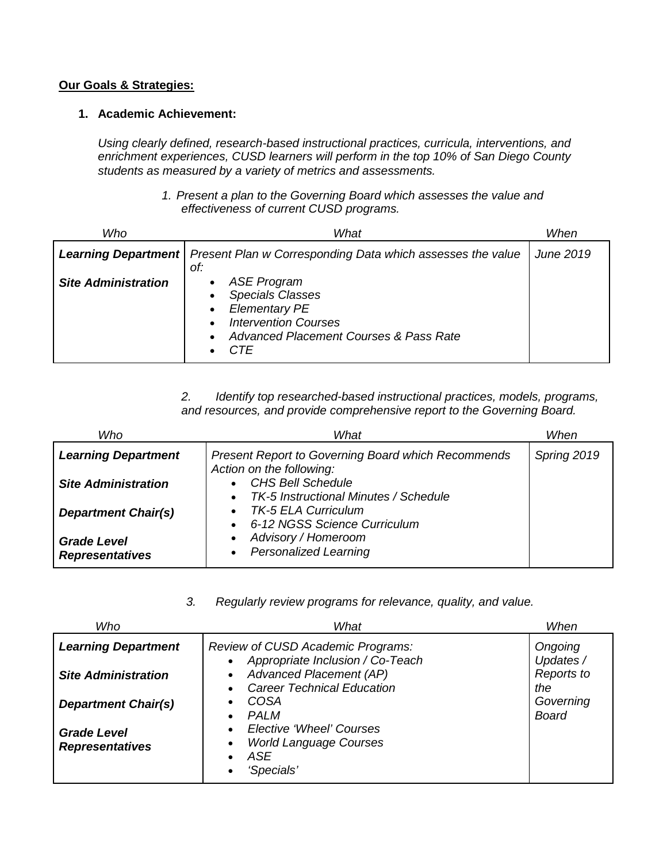#### **Our Goals & Strategies:**

## **1. Academic Achievement:**

*Using clearly defined, research-based instructional practices, curricula, interventions, and enrichment experiences, CUSD learners will perform in the top 10% of San Diego County students as measured by a variety of metrics and assessments.* 

#### *1. Present a plan to the Governing Board which assesses the value and effectiveness of current CUSD programs.*

| Who                        | What                                                                                                                                                                                                                   | When      |
|----------------------------|------------------------------------------------------------------------------------------------------------------------------------------------------------------------------------------------------------------------|-----------|
|                            | <b>Learning Department</b>   Present Plan w Corresponding Data which assesses the value<br>of:                                                                                                                         | June 2019 |
| <b>Site Administration</b> | <b>ASE Program</b><br>$\bullet$<br><b>Specials Classes</b><br>$\bullet$<br><b>Elementary PE</b><br>$\bullet$<br><b>Intervention Courses</b><br>$\bullet$<br>Advanced Placement Courses & Pass Rate<br>$\bullet$<br>CTF |           |

# *2. Identify top researched-based instructional practices, models, programs, and resources, and provide comprehensive report to the Governing Board.*

| Who                                          | What                                                                                  | When        |
|----------------------------------------------|---------------------------------------------------------------------------------------|-------------|
| <b>Learning Department</b>                   | <b>Present Report to Governing Board which Recommends</b><br>Action on the following: | Spring 2019 |
| <b>Site Administration</b>                   | <b>CHS Bell Schedule</b><br>TK-5 Instructional Minutes / Schedule                     |             |
| <b>Department Chair(s)</b>                   | <b>TK-5 ELA Curriculum</b><br>6-12 NGSS Science Curriculum                            |             |
| <b>Grade Level</b><br><b>Representatives</b> | Advisory / Homeroom<br><b>Personalized Learning</b><br>٠                              |             |

## *3. Regularly review programs for relevance, quality, and value.*

| Who                                          | What                                                                                                       | When                      |
|----------------------------------------------|------------------------------------------------------------------------------------------------------------|---------------------------|
| <b>Learning Department</b>                   | <b>Review of CUSD Academic Programs:</b><br>Appropriate Inclusion / Co-Teach                               | Ongoing<br>Updates /      |
| <b>Site Administration</b>                   | $\bullet$<br><b>Advanced Placement (AP)</b><br>$\bullet$<br><b>Career Technical Education</b><br>$\bullet$ | Reports to<br>the         |
| <b>Department Chair(s)</b>                   | COSA<br>$\bullet$<br>PAI M<br>$\bullet$                                                                    | Governing<br><b>Board</b> |
| <b>Grade Level</b><br><b>Representatives</b> | Elective 'Wheel' Courses<br>$\bullet$<br><b>World Language Courses</b><br>$\bullet$<br>ASE<br>'Specials'   |                           |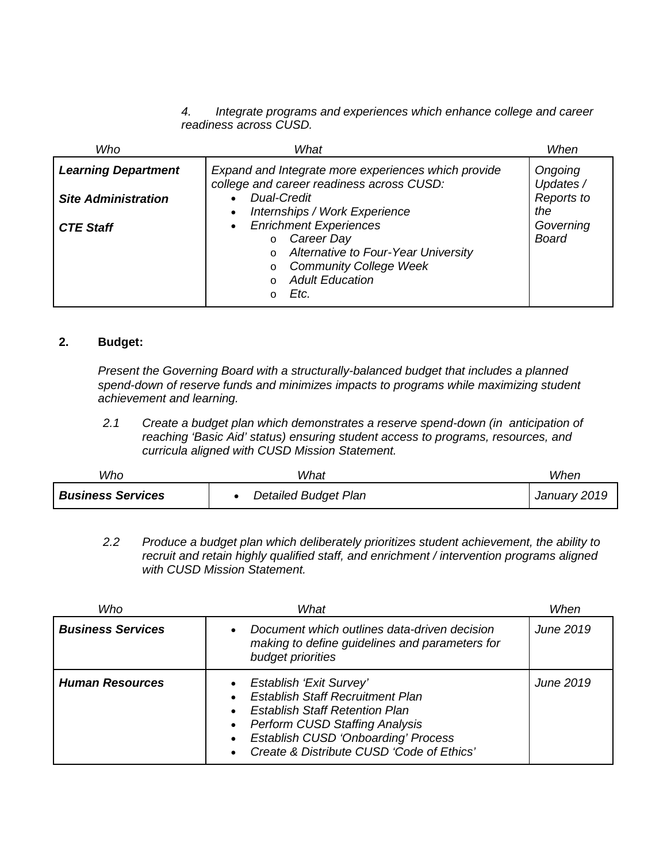*4. Integrate programs and experiences which enhance college and career readiness across CUSD.* 

| Who                        | What                                                                                                                                                                          | When                      |
|----------------------------|-------------------------------------------------------------------------------------------------------------------------------------------------------------------------------|---------------------------|
| <b>Learning Department</b> | Expand and Integrate more experiences which provide<br>college and career readiness across CUSD:                                                                              | Ongoing<br>Updates /      |
| <b>Site Administration</b> | <b>Dual-Credit</b><br>Internships / Work Experience                                                                                                                           | Reports to<br>the         |
| <b>CTE Staff</b>           | <b>Enrichment Experiences</b><br>Career Day<br>$\circ$<br>o Alternative to Four-Year University<br><b>Community College Week</b><br>$\circ$<br><b>Adult Education</b><br>Etc. | Governing<br><b>Board</b> |

# **2. Budget:**

*Present the Governing Board with a structurally-balanced budget that includes a planned spend-down of reserve funds and minimizes impacts to programs while maximizing student achievement and learning.*

*2.1 Create a budget plan which demonstrates a reserve spend-down (in anticipation of reaching 'Basic Aid' status) ensuring student access to programs, resources, and curricula aligned with CUSD Mission Statement.*

| Who                      | What                        | When         |
|--------------------------|-----------------------------|--------------|
| <b>Business Services</b> | <b>Detailed Budget Plan</b> | January 2019 |

*2.2 Produce a budget plan which deliberately prioritizes student achievement, the ability to recruit and retain highly qualified staff, and enrichment / intervention programs aligned with CUSD Mission Statement.* 

| Who                      | What<br>When                                                                                                                                                                                                                                    |                  |  |
|--------------------------|-------------------------------------------------------------------------------------------------------------------------------------------------------------------------------------------------------------------------------------------------|------------------|--|
| <b>Business Services</b> | Document which outlines data-driven decision<br>making to define guidelines and parameters for<br>budget priorities                                                                                                                             |                  |  |
| <b>Human Resources</b>   | Establish 'Exit Survey'<br><b>Establish Staff Recruitment Plan</b><br><b>Establish Staff Retention Plan</b><br><b>Perform CUSD Staffing Analysis</b><br><b>Establish CUSD 'Onboarding' Process</b><br>Create & Distribute CUSD 'Code of Ethics' | <b>June 2019</b> |  |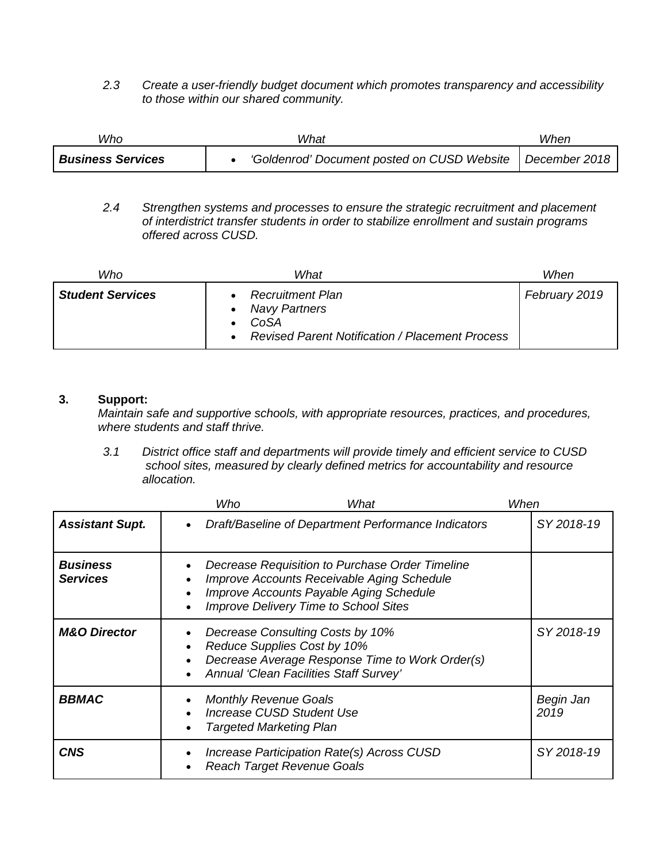*2.3 Create a user-friendly budget document which promotes transparency and accessibility to those within our shared community.* 

| Who                      | What                                                        | When |
|--------------------------|-------------------------------------------------------------|------|
| <b>Business Services</b> | 'Goldenrod' Document posted on CUSD Website   December 2018 |      |

*2.4 Strengthen systems and processes to ensure the strategic recruitment and placement of interdistrict transfer students in order to stabilize enrollment and sustain programs offered across CUSD.* 

| Who                     | What                                                                                                              | When          |
|-------------------------|-------------------------------------------------------------------------------------------------------------------|---------------|
| <b>Student Services</b> | <b>Recruitment Plan</b><br><b>Navy Partners</b><br>CoSA<br><b>Revised Parent Notification / Placement Process</b> | February 2019 |

#### **3. Support:**

*Maintain safe and supportive schools, with appropriate resources, practices, and procedures, where students and staff thrive.*

*3.1 District office staff and departments will provide timely and efficient service to CUSD school sites, measured by clearly defined metrics for accountability and resource allocation.* 

|                                    |           | Who                                                            | What                                                                                                                                                                                     | When |                   |
|------------------------------------|-----------|----------------------------------------------------------------|------------------------------------------------------------------------------------------------------------------------------------------------------------------------------------------|------|-------------------|
| <b>Assistant Supt.</b>             |           |                                                                | Draft/Baseline of Department Performance Indicators                                                                                                                                      |      | SY 2018-19        |
| <b>Business</b><br><b>Services</b> | $\bullet$ |                                                                | Decrease Requisition to Purchase Order Timeline<br>Improve Accounts Receivable Aging Schedule<br>Improve Accounts Payable Aging Schedule<br><b>Improve Delivery Time to School Sites</b> |      |                   |
| <b>M&amp;O Director</b>            |           |                                                                | Decrease Consulting Costs by 10%<br>Reduce Supplies Cost by 10%<br>Decrease Average Response Time to Work Order(s)<br>Annual 'Clean Facilities Staff Survey'                             |      | SY 2018-19        |
| <b>BBMAC</b>                       |           | <b>Monthly Revenue Goals</b><br><b>Targeted Marketing Plan</b> | <b>Increase CUSD Student Use</b>                                                                                                                                                         |      | Begin Jan<br>2019 |
| <b>CNS</b>                         |           |                                                                | Increase Participation Rate(s) Across CUSD<br><b>Reach Target Revenue Goals</b>                                                                                                          |      | SY 2018-19        |